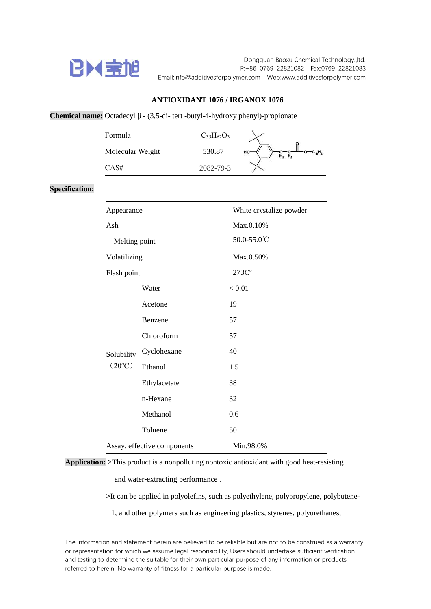

**Specification:**

## **ANTIOXIDANT 1076 / IRGANOX 1076**

## **Chemical name:** Octadecyl β - (3,5-di- tert -butyl-4-hydroxy phenyl)-propionate

| Formula          |             | $C_{35}H_{62}O_3$       |                     |
|------------------|-------------|-------------------------|---------------------|
| Molecular Weight |             | 530.87                  | HO<br><b>н</b> , н, |
| CAS#             |             | 2082-79-3               |                     |
|                  |             |                         |                     |
| Appearance       |             | White crystalize powder |                     |
| Ash              |             | Max.0.10%               |                     |
| Melting point    |             | 50.0-55.0℃              |                     |
| Volatilizing     |             | Max.0.50%               |                     |
| Flash point      |             | 273C°                   |                     |
|                  | Water       |                         | < 0.01              |
|                  | Acetone     | 19                      |                     |
|                  | Benzene     | 57                      |                     |
|                  | Chloroform  | 57                      |                     |
| Solubility       | Cyclohexane | 40                      |                     |

**Application: >**This product is a nonpolluting nontoxic antioxidant with good heat-resisting

Ethanol 1.5

Ethylacetate 38

n-Hexane 32

Methanol 0.6

Toluene 50

Assay, effective components Min.98.0%

and water-extracting performance .

 $(20^{\circ}C)$ 

**>**It can be applied in polyolefins, such as polyethylene, polypropylene, polybutene-

1, and other polymers such as engineering plastics, styrenes, polyurethanes,

The information and statement herein are believed to be reliable but are not to be construed as a warranty or representation for which we assume legal responsibility, Users should undertake sufficient verification and testing to determine the suitable for their own particular purpose of any information or products referred to herein. No warranty of fitness for a particular purpose is made.